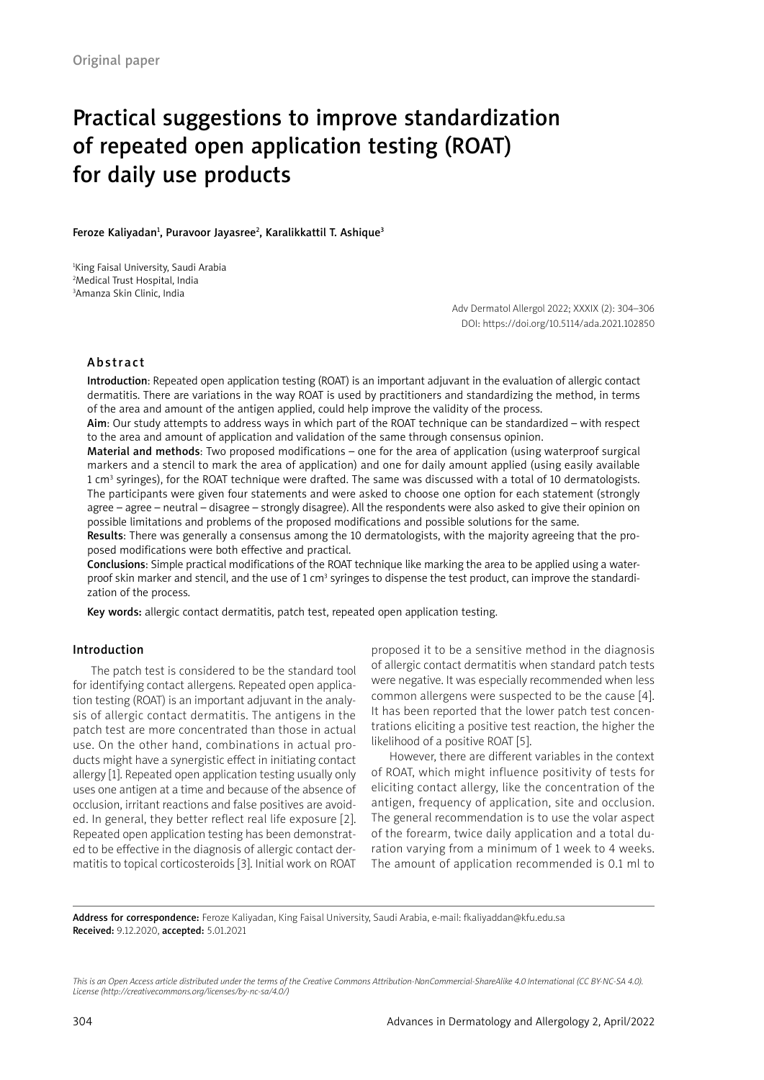# Practical suggestions to improve standardization of repeated open application testing (ROAT) for daily use products

Feroze Kaliyadan<sup>1</sup>, Puravoor Jayasree<sup>2</sup>, Karalikkattil T. Ashique<sup>3</sup>

1 King Faisal University, Saudi Arabia 2 Medical Trust Hospital, India 3 Amanza Skin Clinic, India

> Adv Dermatol Allergol 2022; XXXIX (2): 304–306 DOI: https://doi.org/10.5114/ada.2021.102850

## Abstract

Introduction: Repeated open application testing (ROAT) is an important adjuvant in the evaluation of allergic contact dermatitis. There are variations in the way ROAT is used by practitioners and standardizing the method, in terms of the area and amount of the antigen applied, could help improve the validity of the process.

Aim: Our study attempts to address ways in which part of the ROAT technique can be standardized – with respect to the area and amount of application and validation of the same through consensus opinion.

Material and methods: Two proposed modifications – one for the area of application (using waterproof surgical markers and a stencil to mark the area of application) and one for daily amount applied (using easily available 1 cm<sup>3</sup> syringes), for the ROAT technique were drafted. The same was discussed with a total of 10 dermatologists. The participants were given four statements and were asked to choose one option for each statement (strongly agree – agree – neutral – disagree – strongly disagree). All the respondents were also asked to give their opinion on possible limitations and problems of the proposed modifications and possible solutions for the same.

Results: There was generally a consensus among the 10 dermatologists, with the majority agreeing that the proposed modifications were both effective and practical.

Conclusions: Simple practical modifications of the ROAT technique like marking the area to be applied using a waterproof skin marker and stencil, and the use of 1 cm<sup>3</sup> syringes to dispense the test product, can improve the standardization of the process.

Key words: allergic contact dermatitis, patch test, repeated open application testing.

# Introduction

The patch test is considered to be the standard tool for identifying contact allergens. Repeated open application testing (ROAT) is an important adjuvant in the analysis of allergic contact dermatitis. The antigens in the patch test are more concentrated than those in actual use. On the other hand, combinations in actual products might have a synergistic effect in initiating contact allergy [1]. Repeated open application testing usually only uses one antigen at a time and because of the absence of occlusion, irritant reactions and false positives are avoided. In general, they better reflect real life exposure [2]. Repeated open application testing has been demonstrated to be effective in the diagnosis of allergic contact dermatitis to topical corticosteroids [3]. Initial work on ROAT

proposed it to be a sensitive method in the diagnosis of allergic contact dermatitis when standard patch tests were negative. It was especially recommended when less common allergens were suspected to be the cause [4]. It has been reported that the lower patch test concentrations eliciting a positive test reaction, the higher the likelihood of a positive ROAT [5].

However, there are different variables in the context of ROAT, which might influence positivity of tests for eliciting contact allergy, like the concentration of the antigen, frequency of application, site and occlusion. The general recommendation is to use the volar aspect of the forearm, twice daily application and a total duration varying from a minimum of 1 week to 4 weeks. The amount of application recommended is 0.1 ml to

Address for correspondence: Feroze Kaliyadan, King Faisal University, Saudi Arabia, e-mail: fkaliyaddan@kfu.edu.sa Received: 9.12.2020, accepted: 5.01.2021

*This is an Open Access article distributed under the terms of the Creative Commons Attribution-NonCommercial-ShareAlike 4.0 International (CC BY-NC-SA 4.0). License (http://creativecommons.org/licenses/by-nc-sa/4.0/)*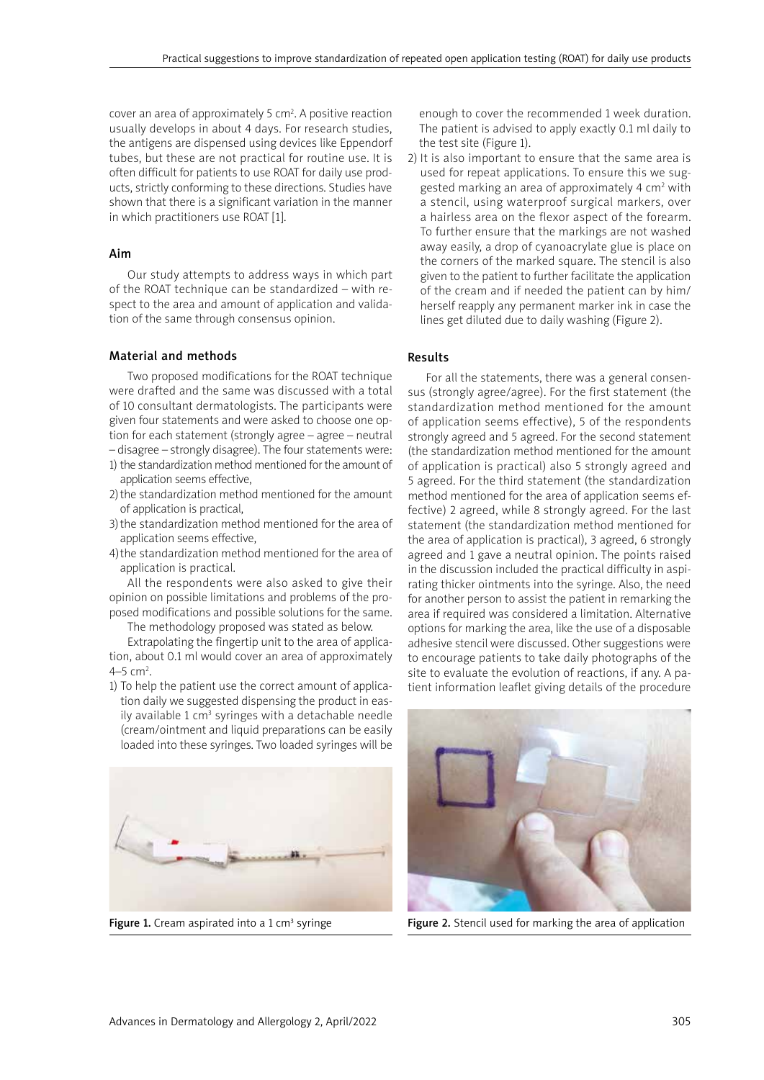cover an area of approximately 5 cm<sup>2</sup>. A positive reaction usually develops in about 4 days. For research studies, the antigens are dispensed using devices like Eppendorf tubes, but these are not practical for routine use. It is often difficult for patients to use ROAT for daily use products, strictly conforming to these directions. Studies have shown that there is a significant variation in the manner in which practitioners use ROAT [1].

#### Aim

Our study attempts to address ways in which part of the ROAT technique can be standardized – with respect to the area and amount of application and validation of the same through consensus opinion.

## Material and methods

Two proposed modifications for the ROAT technique were drafted and the same was discussed with a total of 10 consultant dermatologists. The participants were given four statements and were asked to choose one option for each statement (strongly agree – agree – neutral – disagree – strongly disagree). The four statements were:

- 1) the standardization method mentioned for the amount of application seems effective,
- 2)the standardization method mentioned for the amount of application is practical,
- 3)the standardization method mentioned for the area of application seems effective,
- 4)the standardization method mentioned for the area of application is practical.

All the respondents were also asked to give their opinion on possible limitations and problems of the proposed modifications and possible solutions for the same.

The methodology proposed was stated as below.

Extrapolating the fingertip unit to the area of application, about 0.1 ml would cover an area of approximately  $4-5$  cm<sup>2</sup>.

1) To help the patient use the correct amount of application daily we suggested dispensing the product in easily available 1 cm<sup>3</sup> syringes with a detachable needle (cream/ointment and liquid preparations can be easily loaded into these syringes. Two loaded syringes will be



Figure 1. Cream aspirated into a 1  $cm<sup>3</sup>$  syringe

enough to cover the recommended 1 week duration. The patient is advised to apply exactly 0.1 ml daily to the test site (Figure 1).

2) It is also important to ensure that the same area is used for repeat applications. To ensure this we suggested marking an area of approximately 4 cm<sup>2</sup> with a stencil, using waterproof surgical markers, over a hairless area on the flexor aspect of the forearm. To further ensure that the markings are not washed away easily, a drop of cyanoacrylate glue is place on the corners of the marked square. The stencil is also given to the patient to further facilitate the application of the cream and if needed the patient can by him/ herself reapply any permanent marker ink in case the lines get diluted due to daily washing (Figure 2).

# Results

For all the statements, there was a general consensus (strongly agree/agree). For the first statement (the standardization method mentioned for the amount of application seems effective), 5 of the respondents strongly agreed and 5 agreed. For the second statement (the standardization method mentioned for the amount of application is practical) also 5 strongly agreed and 5 agreed. For the third statement (the standardization method mentioned for the area of application seems effective) 2 agreed, while 8 strongly agreed. For the last statement (the standardization method mentioned for the area of application is practical), 3 agreed, 6 strongly agreed and 1 gave a neutral opinion. The points raised in the discussion included the practical difficulty in aspirating thicker ointments into the syringe. Also, the need for another person to assist the patient in remarking the area if required was considered a limitation. Alternative options for marking the area, like the use of a disposable adhesive stencil were discussed. Other suggestions were to encourage patients to take daily photographs of the site to evaluate the evolution of reactions, if any. A patient information leaflet giving details of the procedure



Figure 2. Stencil used for marking the area of application